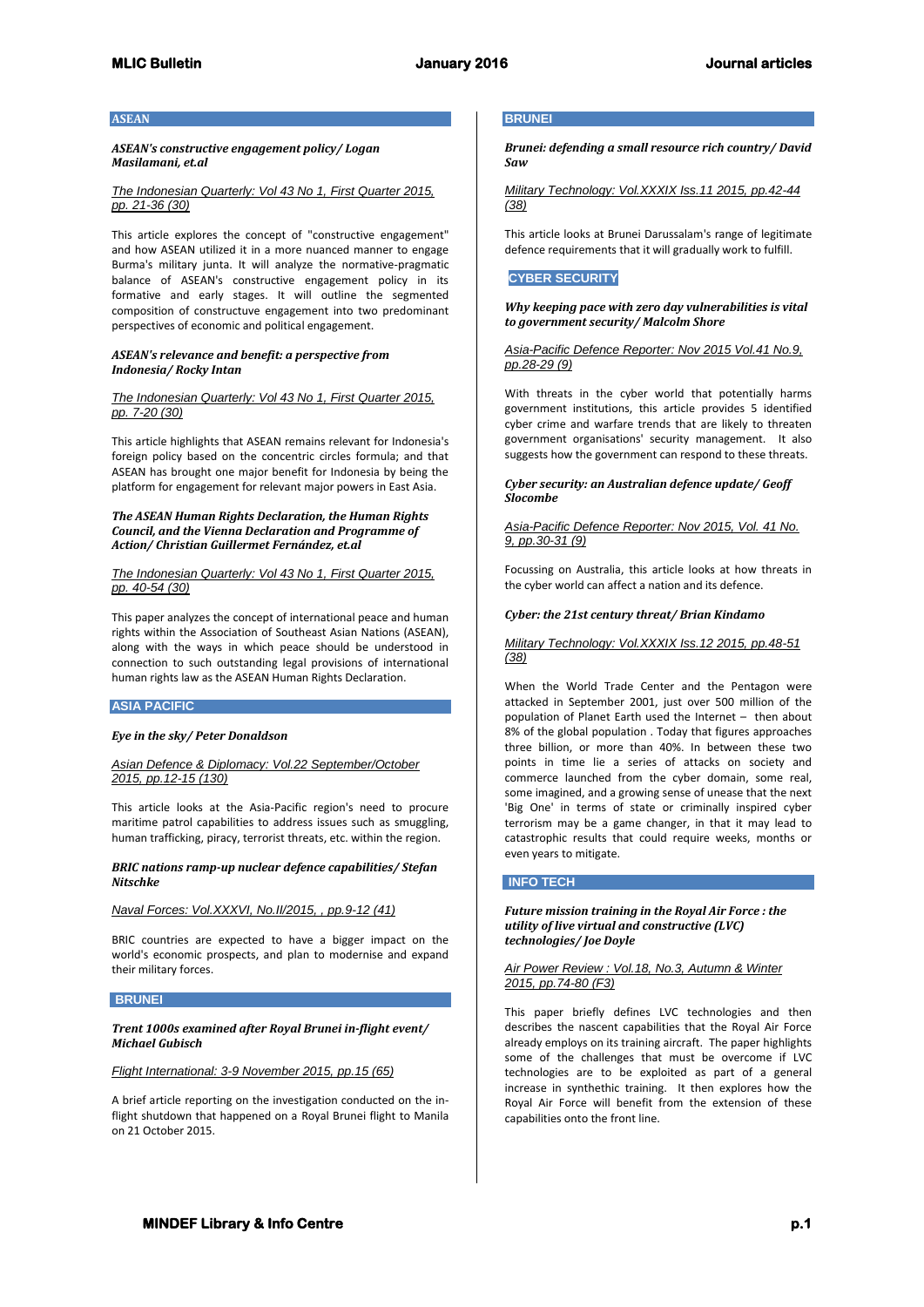#### **ASEAN**

## *ASEAN's constructive engagement policy/ Logan Masilamani, et.al*

#### *The Indonesian Quarterly: Vol 43 No 1, First Quarter 2015, pp. 21-36 (30)*

This article explores the concept of "constructive engagement" and how ASEAN utilized it in a more nuanced manner to engage Burma's military junta. It will analyze the normative-pragmatic balance of ASEAN's constructive engagement policy in its formative and early stages. It will outline the segmented composition of constructuve engagement into two predominant perspectives of economic and political engagement.

#### *ASEAN's relevance and benefit: a perspective from Indonesia/ Rocky Intan*

### *The Indonesian Quarterly: Vol 43 No 1, First Quarter 2015, pp. 7-20 (30)*

This article highlights that ASEAN remains relevant for Indonesia's foreign policy based on the concentric circles formula; and that ASEAN has brought one major benefit for Indonesia by being the platform for engagement for relevant major powers in East Asia.

### *The ASEAN Human Rights Declaration, the Human Rights Council, and the Vienna Declaration and Programme of Action/ Christian Guillermet Fernández, et.al*

#### *The Indonesian Quarterly: Vol 43 No 1, First Quarter 2015, pp. 40-54 (30)*

This paper analyzes the concept of international peace and human rights within the Association of Southeast Asian Nations (ASEAN), along with the ways in which peace should be understood in connection to such outstanding legal provisions of international human rights law as the ASEAN Human Rights Declaration.

### **ASIA PACIFIC**

#### *Eye in the sky/ Peter Donaldson*

#### *Asian Defence & Diplomacy: Vol.22 September/October 2015, pp.12-15 (130)*

This article looks at the Asia-Pacific region's need to procure maritime patrol capabilities to address issues such as smuggling, human trafficking, piracy, terrorist threats, etc. within the region.

#### *BRIC nations ramp-up nuclear defence capabilities/ Stefan Nitschke*

#### *Naval Forces: Vol.XXXVI, No.II/2015, , pp.9-12 (41)*

BRIC countries are expected to have a bigger impact on the world's economic prospects, and plan to modernise and expand their military forces.

### **BRUNEI**

### *Trent 1000s examined after Royal Brunei in-flight event/ Michael Gubisch*

*Flight International: 3-9 November 2015, pp.15 (65)*

A brief article reporting on the investigation conducted on the inflight shutdown that happened on a Royal Brunei flight to Manila on 21 October 2015.

### **BRUNEI**

*Brunei: defending a small resource rich country/ David Saw* 

*Military Technology: Vol.XXXIX Iss.11 2015, pp.42-44 (38)*

This article looks at Brunei Darussalam's range of legitimate defence requirements that it will gradually work to fulfill.

## **CYBER SECURITY**

#### *Why keeping pace with zero day vulnerabilities is vital to government security/ Malcolm Shore*

### *Asia-Pacific Defence Reporter: Nov 2015 Vol.41 No.9, pp.28-29 (9)*

With threats in the cyber world that potentially harms government institutions, this article provides 5 identified cyber crime and warfare trends that are likely to threaten government organisations' security management. It also suggests how the government can respond to these threats.

### *Cyber security: an Australian defence update/ Geoff Slocombe*

### *Asia-Pacific Defence Reporter: Nov 2015, Vol. 41 No. 9, pp.30-31 (9)*

Focussing on Australia, this article looks at how threats in the cyber world can affect a nation and its defence.

### *Cyber: the 21st century threat/ Brian Kindamo*

## *Military Technology: Vol.XXXIX Iss.12 2015, pp.48-51 (38)*

When the World Trade Center and the Pentagon were attacked in September 2001, just over 500 million of the population of Planet Earth used the Internet – then about 8% of the global population . Today that figures approaches three billion, or more than 40%. In between these two points in time lie a series of attacks on society and commerce launched from the cyber domain, some real, some imagined, and a growing sense of unease that the next 'Big One' in terms of state or criminally inspired cyber terrorism may be a game changer, in that it may lead to catastrophic results that could require weeks, months or even years to mitigate.

#### **INFO TECH**

### *Future mission training in the Royal Air Force : the utility of live virtual and constructive (LVC) technologies/ Joe Doyle*

### *Air Power Review : Vol.18, No.3, Autumn & Winter 2015, pp.74-80 (F3)*

This paper briefly defines LVC technologies and then describes the nascent capabilities that the Royal Air Force already employs on its training aircraft. The paper highlights some of the challenges that must be overcome if LVC technologies are to be exploited as part of a general increase in synthethic training. It then explores how the Royal Air Force will benefit from the extension of these capabilities onto the front line.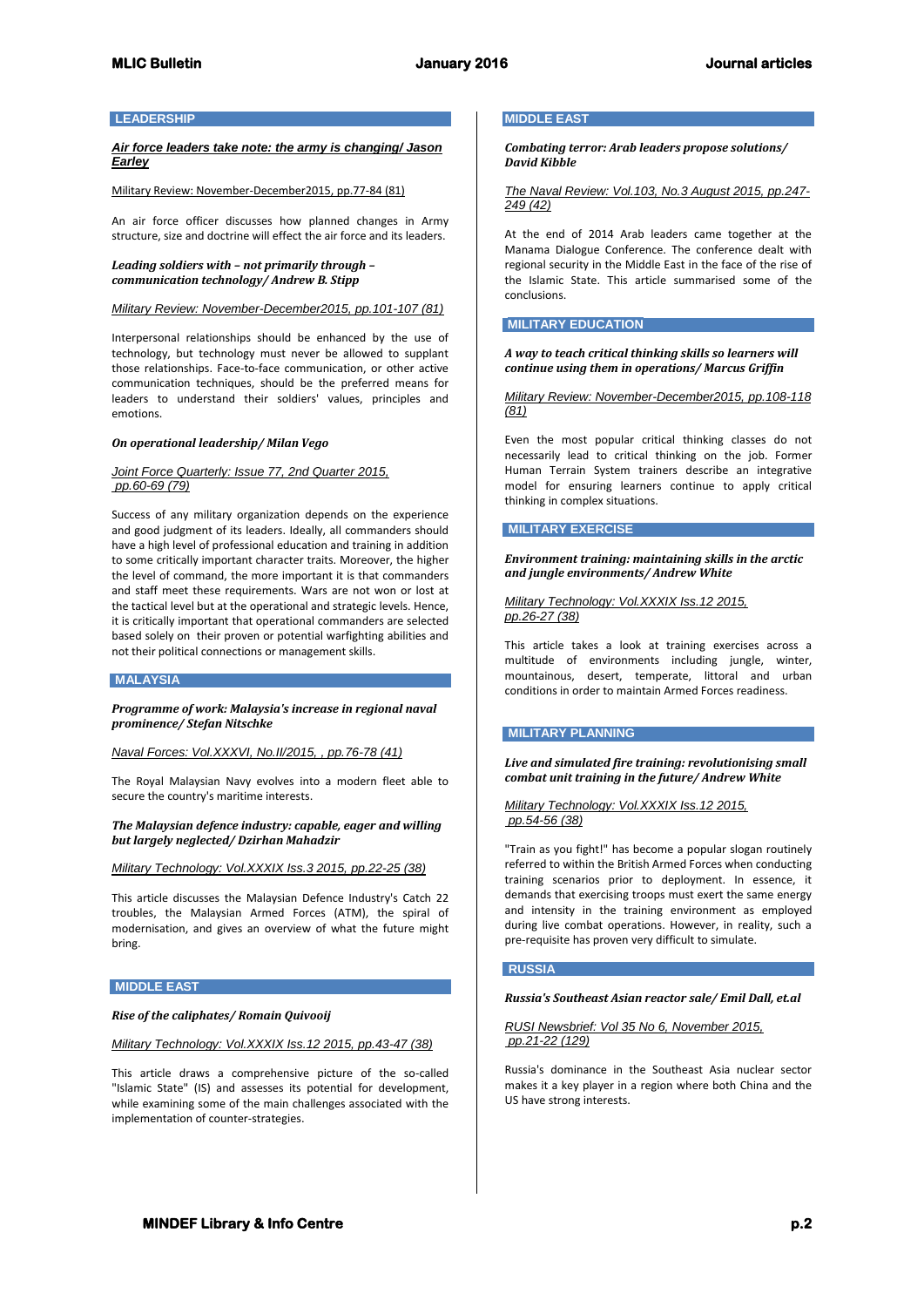### **LEADERSHIP**

## *Air force leaders take note: the army is changing/ Jason Earley*

#### Military Review: November-December2015, pp.77-84 (81)

An air force officer discusses how planned changes in Army structure, size and doctrine will effect the air force and its leaders.

#### *Leading soldiers with – not primarily through – communication technology/ Andrew B. Stipp*

### *Military Review: November-December2015, pp.101-107 (81)*

Interpersonal relationships should be enhanced by the use of technology, but technology must never be allowed to supplant those relationships. Face-to-face communication, or other active communication techniques, should be the preferred means for leaders to understand their soldiers' values, principles and emotions.

#### *On operational leadership/ Milan Vego*

### *Joint Force Quarterly: Issue 77, 2nd Quarter 2015, pp.60-69 (79)*

Success of any military organization depends on the experience and good judgment of its leaders. Ideally, all commanders should have a high level of professional education and training in addition to some critically important character traits. Moreover, the higher the level of command, the more important it is that commanders and staff meet these requirements. Wars are not won or lost at the tactical level but at the operational and strategic levels. Hence, it is critically important that operational commanders are selected based solely on their proven or potential warfighting abilities and not their political connections or management skills.

#### **MALAYSIA**

*Programme of work: Malaysia's increase in regional naval prominence/ Stefan Nitschke*

*Naval Forces: Vol.XXXVI, No.II/2015, , pp.76-78 (41)*

The Royal Malaysian Navy evolves into a modern fleet able to secure the country's maritime interests.

### *The Malaysian defence industry: capable, eager and willing but largely neglected/ Dzirhan Mahadzir*

*Military Technology: Vol.XXXIX Iss.3 2015, pp.22-25 (38)*

This article discusses the Malaysian Defence Industry's Catch 22 troubles, the Malaysian Armed Forces (ATM), the spiral of modernisation, and gives an overview of what the future might bring.

### **MIDDLE EAST**

#### *Rise of the caliphates/ Romain Quivooij*

*Military Technology: Vol.XXXIX Iss.12 2015, pp.43-47 (38)*

This article draws a comprehensive picture of the so-called "Islamic State" (IS) and assesses its potential for development, while examining some of the main challenges associated with the implementation of counter-strategies.

#### **MIDDLE EAST**

*Combating terror: Arab leaders propose solutions/ David Kibble*

*The Naval Review: Vol.103, No.3 August 2015, pp.247- 249 (42)*

At the end of 2014 Arab leaders came together at the Manama Dialogue Conference. The conference dealt with regional security in the Middle East in the face of the rise of the Islamic State. This article summarised some of the conclusions.

# **MILITARY EDUCATION**

*A way to teach critical thinking skills so learners will continue using them in operations/ Marcus Griffin*

*Military Review: November-December2015, pp.108-118 (81)*

Even the most popular critical thinking classes do not necessarily lead to critical thinking on the job. Former Human Terrain System trainers describe an integrative model for ensuring learners continue to apply critical thinking in complex situations.

#### **MILITARY EXERCISE**

*Environment training: maintaining skills in the arctic and jungle environments/ Andrew White*

### *Military Technology: Vol.XXXIX Iss.12 2015, pp.26-27 (38)*

This article takes a look at training exercises across a multitude of environments including jungle, winter, mountainous, desert, temperate, littoral and urban conditions in order to maintain Armed Forces readiness.

### **MILITARY PLANNING**

*Live and simulated fire training: revolutionising small combat unit training in the future/ Andrew White*

### *Military Technology: Vol.XXXIX Iss.12 2015, pp.54-56 (38)*

"Train as you fight!" has become a popular slogan routinely referred to within the British Armed Forces when conducting training scenarios prior to deployment. In essence, it demands that exercising troops must exert the same energy and intensity in the training environment as employed during live combat operations. However, in reality, such a pre-requisite has proven very difficult to simulate.

### **RUSSIA**

### *Russia's Southeast Asian reactor sale/ Emil Dall, et.al*

## *RUSI Newsbrief: Vol 35 No 6, November 2015, pp.21-22 (129)*

Russia's dominance in the Southeast Asia nuclear sector makes it a key player in a region where both China and the US have strong interests.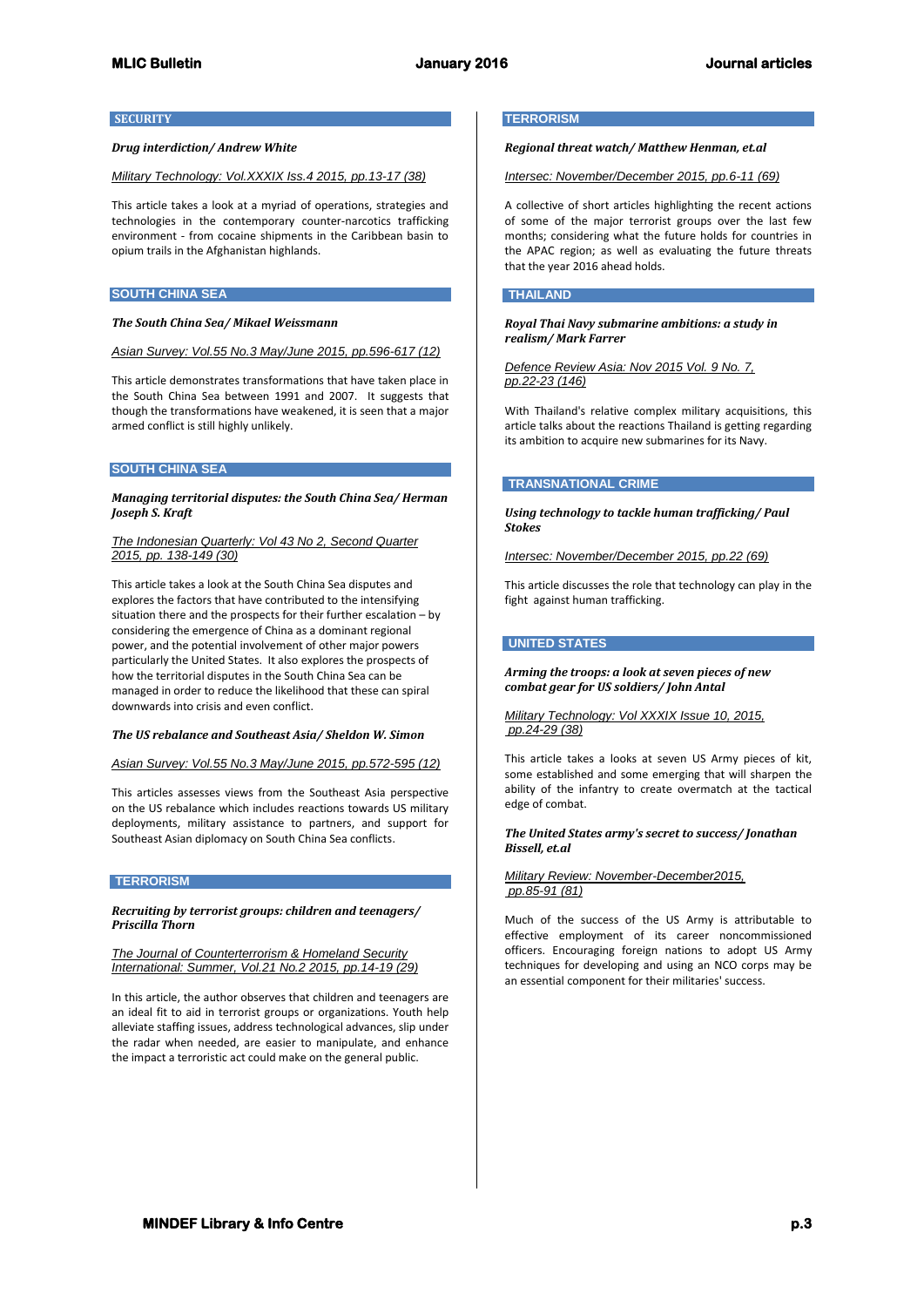### **SECURITY**

### *Drug interdiction/ Andrew White*

## *Military Technology: Vol.XXXIX Iss.4 2015, pp.13-17 (38)*

This article takes a look at a myriad of operations, strategies and technologies in the contemporary counter-narcotics trafficking environment - from cocaine shipments in the Caribbean basin to opium trails in the Afghanistan highlands.

#### **SOUTH CHINA SEA**

#### *The South China Sea/ Mikael Weissmann*

### *Asian Survey: Vol.55 No.3 May/June 2015, pp.596-617 (12)*

This article demonstrates transformations that have taken place in the South China Sea between 1991 and 2007. It suggests that though the transformations have weakened, it is seen that a major armed conflict is still highly unlikely.

## **SOUTH CHINA SEA**

### *Managing territorial disputes: the South China Sea/ Herman Joseph S. Kraft*

#### *The Indonesian Quarterly: Vol 43 No 2, Second Quarter 2015, pp. 138-149 (30)*

This article takes a look at the South China Sea disputes and explores the factors that have contributed to the intensifying situation there and the prospects for their further escalation – by considering the emergence of China as a dominant regional power, and the potential involvement of other major powers particularly the United States. It also explores the prospects of how the territorial disputes in the South China Sea can be managed in order to reduce the likelihood that these can spiral downwards into crisis and even conflict.

#### *The US rebalance and Southeast Asia/ Sheldon W. Simon*

#### *Asian Survey: Vol.55 No.3 May/June 2015, pp.572-595 (12)*

This articles assesses views from the Southeast Asia perspective on the US rebalance which includes reactions towards US military deployments, military assistance to partners, and support for Southeast Asian diplomacy on South China Sea conflicts.

### **TERRORISM**

### *Recruiting by terrorist groups: children and teenagers/ Priscilla Thorn*

*The Journal of Counterterrorism & Homeland Security International: Summer, Vol.21 No.2 2015, pp.14-19 (29)*

In this article, the author observes that children and teenagers are an ideal fit to aid in terrorist groups or organizations. Youth help alleviate staffing issues, address technological advances, slip under the radar when needed, are easier to manipulate, and enhance the impact a terroristic act could make on the general public.

#### **TERRORISM**

## *Regional threat watch/ Matthew Henman, et.al*

*Intersec: November/December 2015, pp.6-11 (69)*

A collective of short articles highlighting the recent actions of some of the major terrorist groups over the last few months; considering what the future holds for countries in the APAC region; as well as evaluating the future threats that the year 2016 ahead holds.

#### **THAILAND**

*Royal Thai Navy submarine ambitions: a study in realism/ Mark Farrer*

*Defence Review Asia: Nov 2015 Vol. 9 No. 7, pp.22-23 (146)*

With Thailand's relative complex military acquisitions, this article talks about the reactions Thailand is getting regarding its ambition to acquire new submarines for its Navy.

## **TRANSNATIONAL CRIME**

*Using technology to tackle human trafficking/ Paul Stokes*

*Intersec: November/December 2015, pp.22 (69)*

This article discusses the role that technology can play in the fight against human trafficking.

## **UNITED STATES**

*Arming the troops: a look at seven pieces of new combat gear for US soldiers/ John Antal*

#### *Military Technology: Vol XXXIX Issue 10, 2015, pp.24-29 (38)*

This article takes a looks at seven US Army pieces of kit, some established and some emerging that will sharpen the ability of the infantry to create overmatch at the tactical edge of combat.

## *The United States army's secret to success/ Jonathan Bissell, et.al*

### *Military Review: November-December2015, pp.85-91 (81)*

Much of the success of the US Army is attributable to effective employment of its career noncommissioned officers. Encouraging foreign nations to adopt US Army techniques for developing and using an NCO corps may be an essential component for their militaries' success.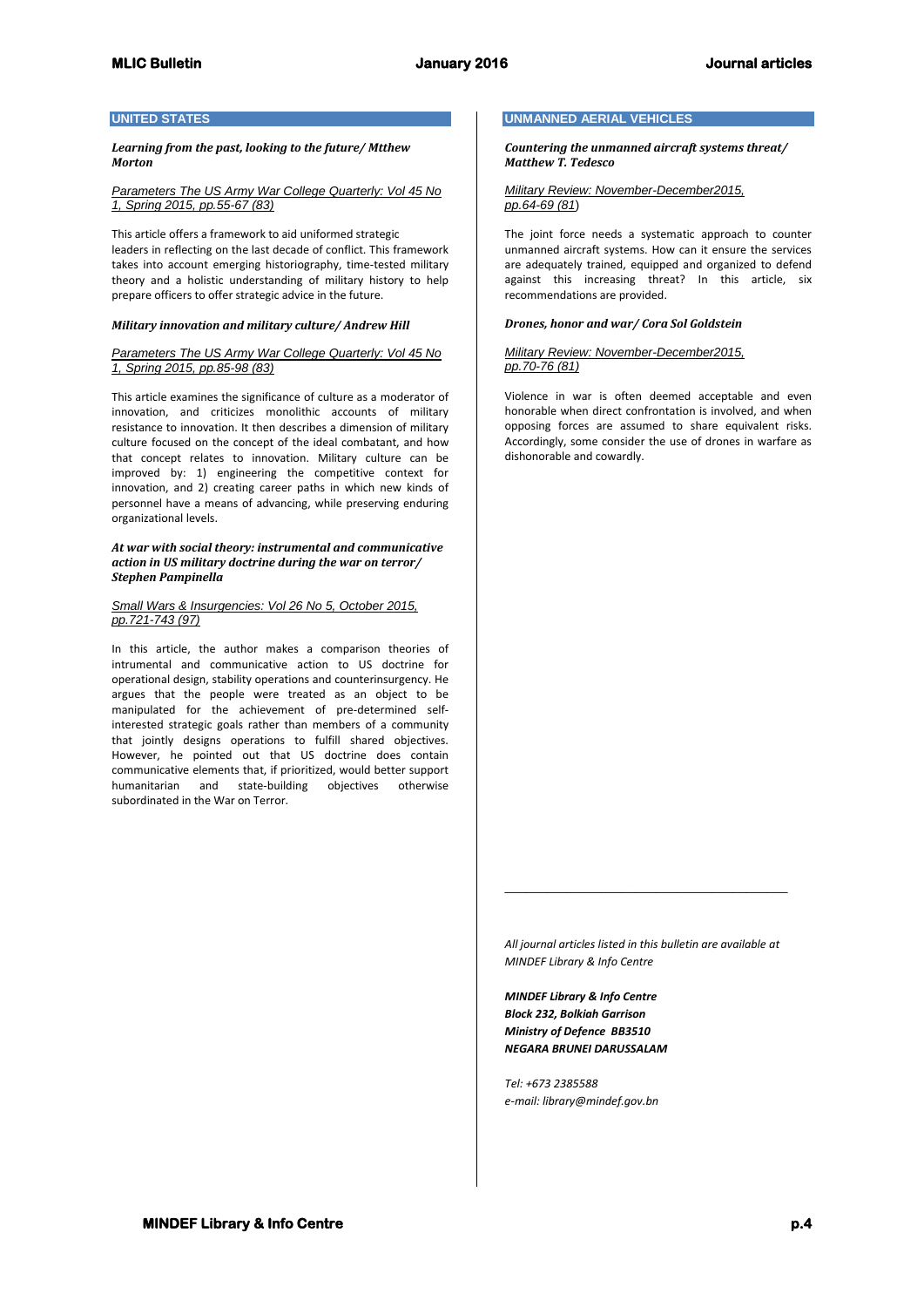# **UNITED STATES**

*Learning from the past, looking to the future/ Mtthew Morton*

*Parameters The US Army War College Quarterly: Vol 45 No 1, Spring 2015, pp.55-67 (83)*

This article offers a framework to aid uniformed strategic leaders in reflecting on the last decade of conflict. This framework takes into account emerging historiography, time-tested military theory and a holistic understanding of military history to help prepare officers to offer strategic advice in the future.

#### *Military innovation and military culture/ Andrew Hill*

*Parameters The US Army War College Quarterly: Vol 45 No 1, Spring 2015, pp.85-98 (83)*

This article examines the significance of culture as a moderator of innovation, and criticizes monolithic accounts of military resistance to innovation. It then describes a dimension of military culture focused on the concept of the ideal combatant, and how that concept relates to innovation. Military culture can be improved by: 1) engineering the competitive context for innovation, and 2) creating career paths in which new kinds of personnel have a means of advancing, while preserving enduring organizational levels.

### *At war with social theory: instrumental and communicative action in US military doctrine during the war on terror/ Stephen Pampinella*

### *Small Wars & Insurgencies: Vol 26 No 5, October 2015, pp.721-743 (97)*

In this article, the author makes a comparison theories of intrumental and communicative action to US doctrine for operational design, stability operations and counterinsurgency. He argues that the people were treated as an object to be manipulated for the achievement of pre-determined selfinterested strategic goals rather than members of a community that jointly designs operations to fulfill shared objectives. However, he pointed out that US doctrine does contain communicative elements that, if prioritized, would better support humanitarian and state-building subordinated in the War on Terror.

## **UNMANNED AERIAL VEHICLES**

*Countering the unmanned aircraft systems threat/ Matthew T. Tedesco*

#### *Military Review: November-December2015, pp.64-69 (81*)

The joint force needs a systematic approach to counter unmanned aircraft systems. How can it ensure the services are adequately trained, equipped and organized to defend against this increasing threat? In this article, six recommendations are provided.

#### *Drones, honor and war/ Cora Sol Goldstein*

### *Military Review: November-December2015, pp.70-76 (81)*

Violence in war is often deemed acceptable and even honorable when direct confrontation is involved, and when opposing forces are assumed to share equivalent risks. Accordingly, some consider the use of drones in warfare as dishonorable and cowardly.

*All journal articles listed in this bulletin are available at MINDEF Library & Info Centre*

\_\_\_\_\_\_\_\_\_\_\_\_\_\_\_\_\_\_\_\_\_\_\_\_\_\_\_\_\_\_\_\_\_\_\_\_\_\_\_\_\_

*MINDEF Library & Info Centre Block 232, Bolkiah Garrison Ministry of Defence BB3510 NEGARA BRUNEI DARUSSALAM*

*Tel: +673 2385588 e-mail: library@mindef.gov.bn*